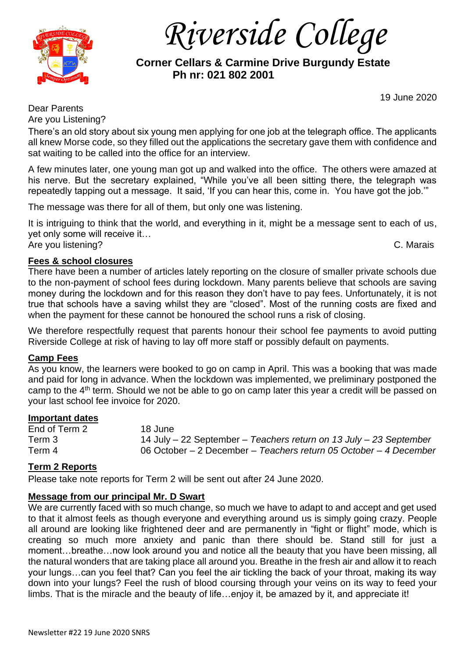

*Riverside College*

# **Corner Cellars & Carmine Drive Burgundy Estate Ph nr: 021 802 2001**

19 June 2020

Dear Parents Are you Listening?

There's an old story about six young men applying for one job at the telegraph office. The applicants all knew Morse code, so they filled out the applications the secretary gave them with confidence and sat waiting to be called into the office for an interview.

A few minutes later, one young man got up and walked into the office. The others were amazed at his nerve. But the secretary explained, "While you've all been sitting there, the telegraph was repeatedly tapping out a message. It said, 'If you can hear this, come in. You have got the job.'"

The message was there for all of them, but only one was listening.

It is intriguing to think that the world, and everything in it, might be a message sent to each of us, yet only some will receive it… Are you listening? C. Marais

## **Fees & school closures**

There have been a number of articles lately reporting on the closure of smaller private schools due to the non-payment of school fees during lockdown. Many parents believe that schools are saving money during the lockdown and for this reason they don't have to pay fees. Unfortunately, it is not true that schools have a saving whilst they are "closed". Most of the running costs are fixed and when the payment for these cannot be honoured the school runs a risk of closing.

We therefore respectfully request that parents honour their school fee payments to avoid putting Riverside College at risk of having to lay off more staff or possibly default on payments.

### **Camp Fees**

As you know, the learners were booked to go on camp in April. This was a booking that was made and paid for long in advance. When the lockdown was implemented, we preliminary postponed the camp to the 4<sup>th</sup> term. Should we not be able to go on camp later this year a credit will be passed on your last school fee invoice for 2020.

### **Important dates**

End of Term 2 18 June Term 3 14 July – 22 September – *Teachers return on 13 July – 23 September* Term 4 06 October – 2 December – *Teachers return 05 October – 4 December*

## **Term 2 Reports**

Please take note reports for Term 2 will be sent out after 24 June 2020.

## **Message from our principal Mr. D Swart**

We are currently faced with so much change, so much we have to adapt to and accept and get used to that it almost feels as though everyone and everything around us is simply going crazy. People all around are looking like frightened deer and are permanently in "fight or flight" mode, which is creating so much more anxiety and panic than there should be. Stand still for just a moment…breathe…now look around you and notice all the beauty that you have been missing, all the natural wonders that are taking place all around you. Breathe in the fresh air and allow it to reach your lungs…can you feel that? Can you feel the air tickling the back of your throat, making its way down into your lungs? Feel the rush of blood coursing through your veins on its way to feed your limbs. That is the miracle and the beauty of life…enjoy it, be amazed by it, and appreciate it!